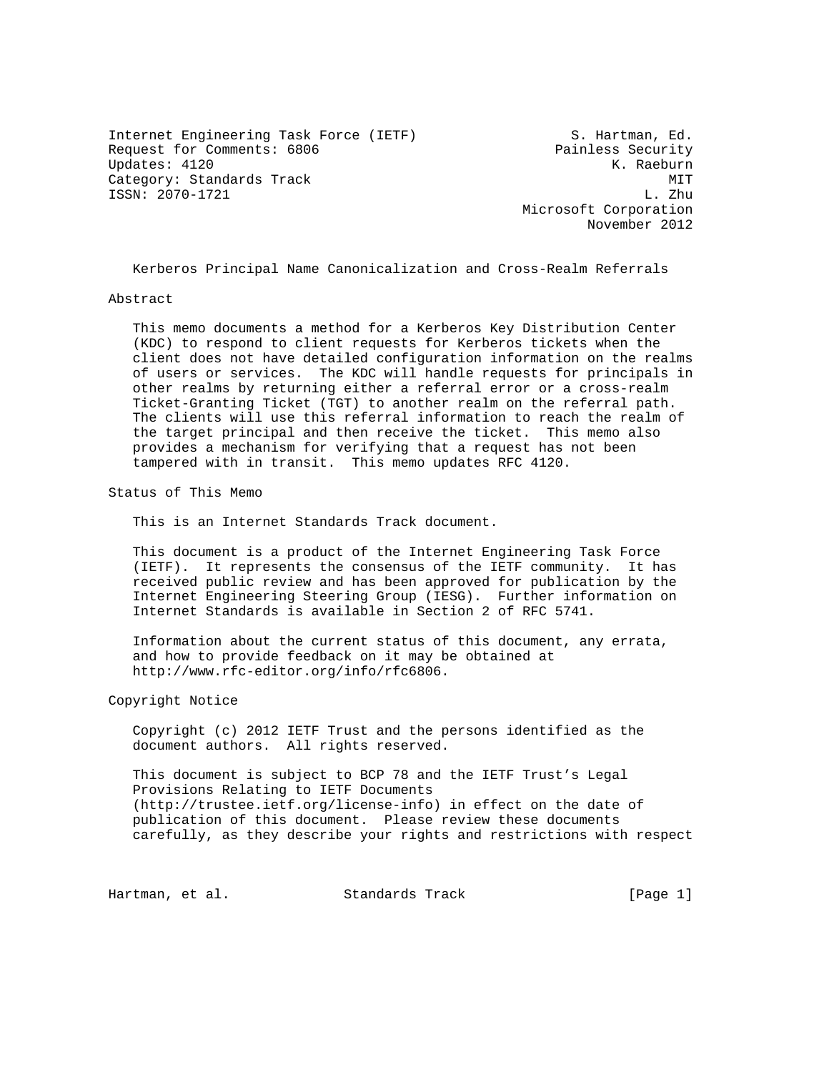Internet Engineering Task Force (IETF) S. Hartman, Ed. Request for Comments: 6806 Painless Security Updates: 4120 K. Raeburn Category: Standards Track MIT<br>
MIT
ISSN: 2070-1721<br>
L. Zhu ISSN: 2070-1721

 Microsoft Corporation November 2012

Kerberos Principal Name Canonicalization and Cross-Realm Referrals

#### Abstract

 This memo documents a method for a Kerberos Key Distribution Center (KDC) to respond to client requests for Kerberos tickets when the client does not have detailed configuration information on the realms of users or services. The KDC will handle requests for principals in other realms by returning either a referral error or a cross-realm Ticket-Granting Ticket (TGT) to another realm on the referral path. The clients will use this referral information to reach the realm of the target principal and then receive the ticket. This memo also provides a mechanism for verifying that a request has not been tampered with in transit. This memo updates RFC 4120.

Status of This Memo

This is an Internet Standards Track document.

 This document is a product of the Internet Engineering Task Force (IETF). It represents the consensus of the IETF community. It has received public review and has been approved for publication by the Internet Engineering Steering Group (IESG). Further information on Internet Standards is available in Section 2 of RFC 5741.

 Information about the current status of this document, any errata, and how to provide feedback on it may be obtained at http://www.rfc-editor.org/info/rfc6806.

Copyright Notice

 Copyright (c) 2012 IETF Trust and the persons identified as the document authors. All rights reserved.

 This document is subject to BCP 78 and the IETF Trust's Legal Provisions Relating to IETF Documents (http://trustee.ietf.org/license-info) in effect on the date of publication of this document. Please review these documents carefully, as they describe your rights and restrictions with respect

Hartman, et al. Standards Track [Page 1]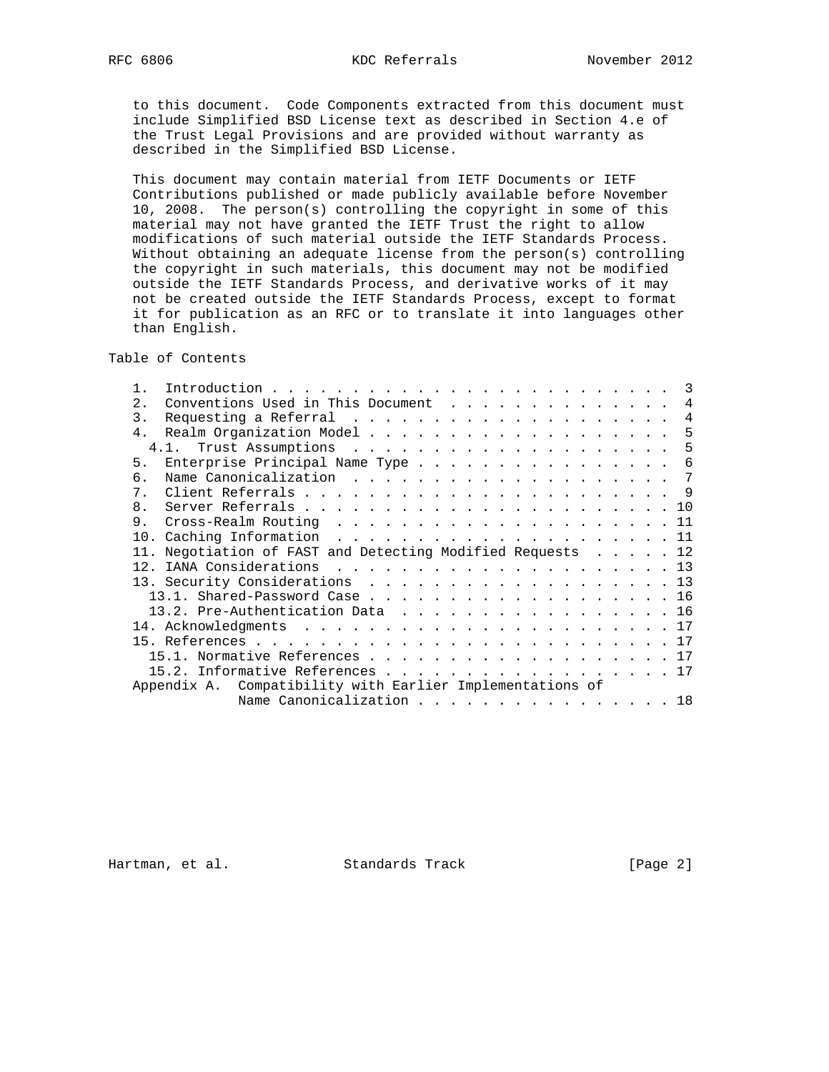to this document. Code Components extracted from this document must include Simplified BSD License text as described in Section 4.e of the Trust Legal Provisions and are provided without warranty as described in the Simplified BSD License.

 This document may contain material from IETF Documents or IETF Contributions published or made publicly available before November 10, 2008. The person(s) controlling the copyright in some of this material may not have granted the IETF Trust the right to allow modifications of such material outside the IETF Standards Process. Without obtaining an adequate license from the person(s) controlling the copyright in such materials, this document may not be modified outside the IETF Standards Process, and derivative works of it may not be created outside the IETF Standards Process, except to format it for publication as an RFC or to translate it into languages other than English.

Table of Contents

| 2.             | Conventions Used in This Document                          |  |  |  |  |  |  |  |  |  |  | $\overline{4}$ |
|----------------|------------------------------------------------------------|--|--|--|--|--|--|--|--|--|--|----------------|
| 3.             |                                                            |  |  |  |  |  |  |  |  |  |  | $\overline{4}$ |
| 4 <sup>1</sup> |                                                            |  |  |  |  |  |  |  |  |  |  | -5             |
|                |                                                            |  |  |  |  |  |  |  |  |  |  | 5              |
| 5.             | Enterprise Principal Name Type                             |  |  |  |  |  |  |  |  |  |  | 6              |
| б.             |                                                            |  |  |  |  |  |  |  |  |  |  |                |
| 7 <sub>1</sub> |                                                            |  |  |  |  |  |  |  |  |  |  |                |
| $\mathsf{R}$   |                                                            |  |  |  |  |  |  |  |  |  |  |                |
| 9              |                                                            |  |  |  |  |  |  |  |  |  |  |                |
|                |                                                            |  |  |  |  |  |  |  |  |  |  |                |
|                |                                                            |  |  |  |  |  |  |  |  |  |  |                |
|                | 11. Negotiation of FAST and Detecting Modified Requests 12 |  |  |  |  |  |  |  |  |  |  |                |
|                |                                                            |  |  |  |  |  |  |  |  |  |  |                |
|                | 13. Security Considerations 13                             |  |  |  |  |  |  |  |  |  |  |                |
|                | 13.1. Shared-Password Case 16                              |  |  |  |  |  |  |  |  |  |  |                |
|                | 13.2. Pre-Authentication Data 16                           |  |  |  |  |  |  |  |  |  |  |                |
|                |                                                            |  |  |  |  |  |  |  |  |  |  |                |
|                |                                                            |  |  |  |  |  |  |  |  |  |  |                |
|                | 15.1. Normative References 17                              |  |  |  |  |  |  |  |  |  |  |                |
|                | 15.2. Informative References 17                            |  |  |  |  |  |  |  |  |  |  |                |
|                | Appendix A. Compatibility with Earlier Implementations of  |  |  |  |  |  |  |  |  |  |  |                |

Hartman, et al. Standards Track [Page 2]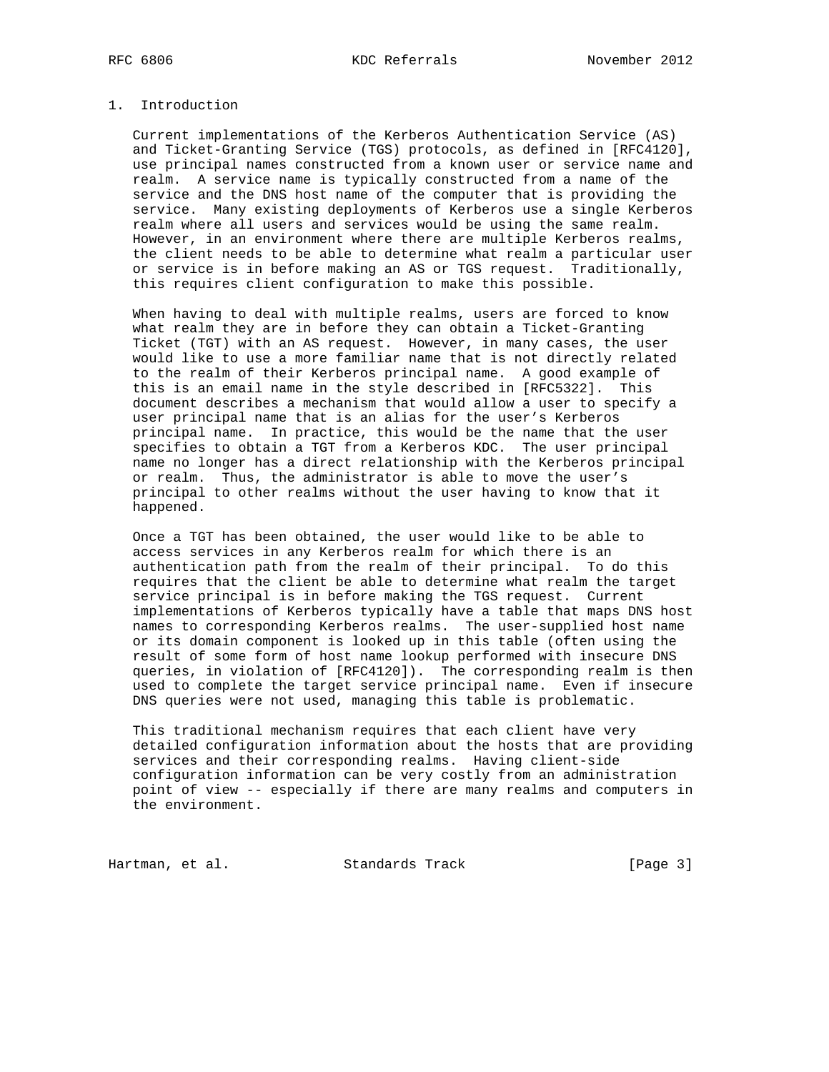# 1. Introduction

 Current implementations of the Kerberos Authentication Service (AS) and Ticket-Granting Service (TGS) protocols, as defined in [RFC4120], use principal names constructed from a known user or service name and realm. A service name is typically constructed from a name of the service and the DNS host name of the computer that is providing the service. Many existing deployments of Kerberos use a single Kerberos realm where all users and services would be using the same realm. However, in an environment where there are multiple Kerberos realms, the client needs to be able to determine what realm a particular user or service is in before making an AS or TGS request. Traditionally, this requires client configuration to make this possible.

 When having to deal with multiple realms, users are forced to know what realm they are in before they can obtain a Ticket-Granting Ticket (TGT) with an AS request. However, in many cases, the user would like to use a more familiar name that is not directly related to the realm of their Kerberos principal name. A good example of this is an email name in the style described in [RFC5322]. This document describes a mechanism that would allow a user to specify a user principal name that is an alias for the user's Kerberos principal name. In practice, this would be the name that the user specifies to obtain a TGT from a Kerberos KDC. The user principal name no longer has a direct relationship with the Kerberos principal or realm. Thus, the administrator is able to move the user's principal to other realms without the user having to know that it happened.

 Once a TGT has been obtained, the user would like to be able to access services in any Kerberos realm for which there is an authentication path from the realm of their principal. To do this requires that the client be able to determine what realm the target service principal is in before making the TGS request. Current implementations of Kerberos typically have a table that maps DNS host names to corresponding Kerberos realms. The user-supplied host name or its domain component is looked up in this table (often using the result of some form of host name lookup performed with insecure DNS queries, in violation of [RFC4120]). The corresponding realm is then used to complete the target service principal name. Even if insecure DNS queries were not used, managing this table is problematic.

 This traditional mechanism requires that each client have very detailed configuration information about the hosts that are providing services and their corresponding realms. Having client-side configuration information can be very costly from an administration point of view -- especially if there are many realms and computers in the environment.

Hartman, et al. Standards Track [Page 3]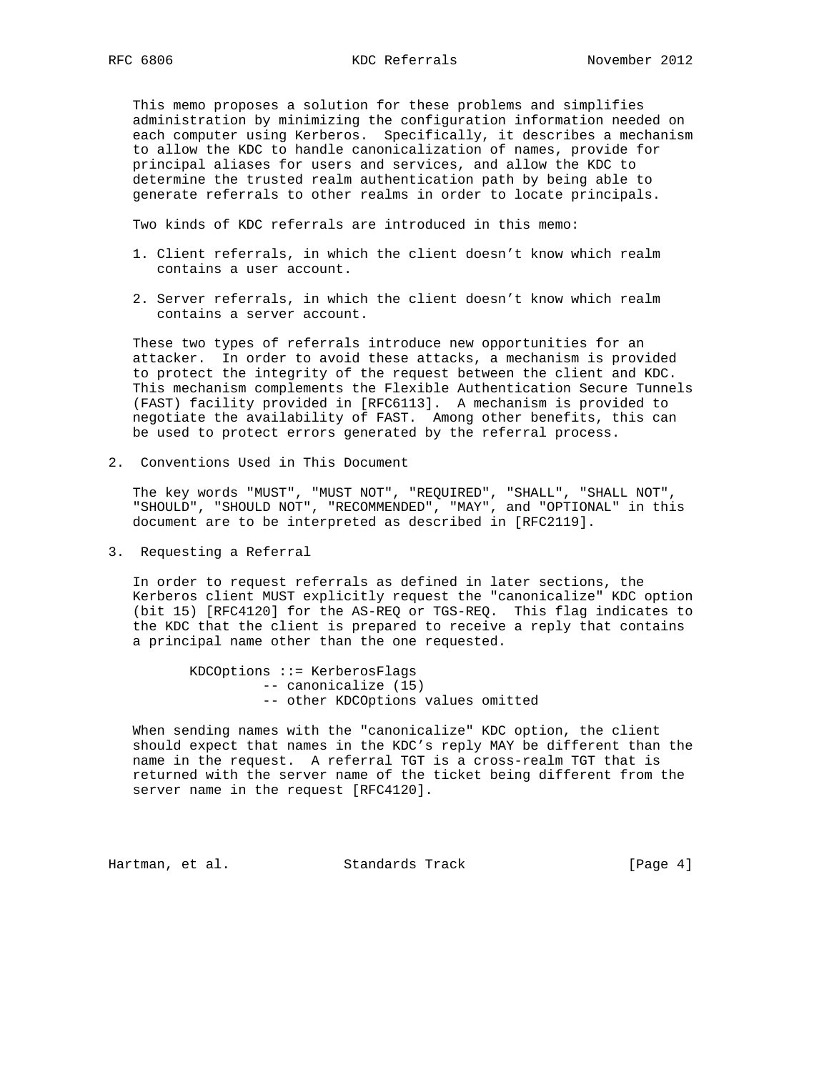This memo proposes a solution for these problems and simplifies administration by minimizing the configuration information needed on each computer using Kerberos. Specifically, it describes a mechanism to allow the KDC to handle canonicalization of names, provide for principal aliases for users and services, and allow the KDC to determine the trusted realm authentication path by being able to generate referrals to other realms in order to locate principals.

Two kinds of KDC referrals are introduced in this memo:

- 1. Client referrals, in which the client doesn't know which realm contains a user account.
- 2. Server referrals, in which the client doesn't know which realm contains a server account.

 These two types of referrals introduce new opportunities for an attacker. In order to avoid these attacks, a mechanism is provided to protect the integrity of the request between the client and KDC. This mechanism complements the Flexible Authentication Secure Tunnels (FAST) facility provided in [RFC6113]. A mechanism is provided to negotiate the availability of FAST. Among other benefits, this can be used to protect errors generated by the referral process.

2. Conventions Used in This Document

 The key words "MUST", "MUST NOT", "REQUIRED", "SHALL", "SHALL NOT", "SHOULD", "SHOULD NOT", "RECOMMENDED", "MAY", and "OPTIONAL" in this document are to be interpreted as described in [RFC2119].

3. Requesting a Referral

 In order to request referrals as defined in later sections, the Kerberos client MUST explicitly request the "canonicalize" KDC option (bit 15) [RFC4120] for the AS-REQ or TGS-REQ. This flag indicates to the KDC that the client is prepared to receive a reply that contains a principal name other than the one requested.

> KDCOptions ::= KerberosFlags -- canonicalize (15) -- other KDCOptions values omitted

 When sending names with the "canonicalize" KDC option, the client should expect that names in the KDC's reply MAY be different than the name in the request. A referral TGT is a cross-realm TGT that is returned with the server name of the ticket being different from the server name in the request [RFC4120].

Hartman, et al. Standards Track [Page 4]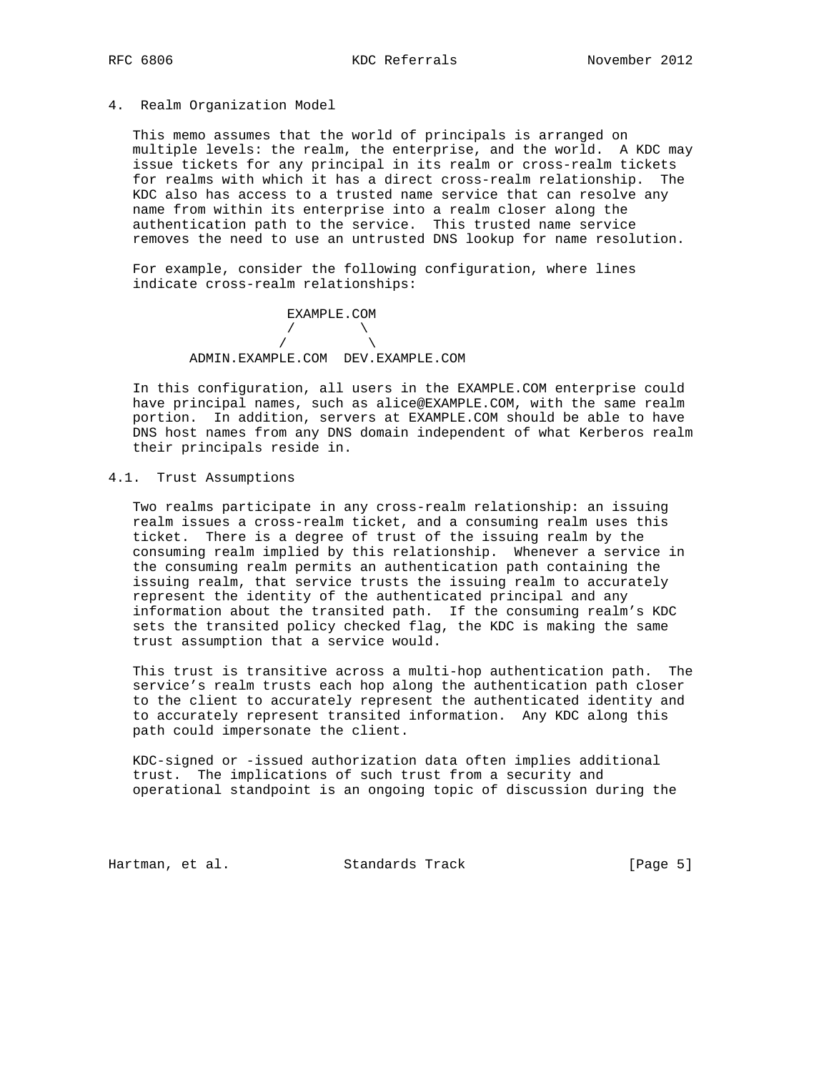### 4. Realm Organization Model

 This memo assumes that the world of principals is arranged on multiple levels: the realm, the enterprise, and the world. A KDC may issue tickets for any principal in its realm or cross-realm tickets for realms with which it has a direct cross-realm relationship. The KDC also has access to a trusted name service that can resolve any name from within its enterprise into a realm closer along the authentication path to the service. This trusted name service removes the need to use an untrusted DNS lookup for name resolution.

 For example, consider the following configuration, where lines indicate cross-realm relationships:

 EXAMPLE.COM  $\overline{a}$  /  $\overline{a}$  /  $\overline{a}$  /  $\overline{a}$  $\overline{a}$  /  $\overline{a}$  /  $\overline{a}$  /  $\overline{a}$ ADMIN.EXAMPLE.COM DEV.EXAMPLE.COM

 In this configuration, all users in the EXAMPLE.COM enterprise could have principal names, such as alice@EXAMPLE.COM, with the same realm portion. In addition, servers at EXAMPLE.COM should be able to have DNS host names from any DNS domain independent of what Kerberos realm their principals reside in.

## 4.1. Trust Assumptions

 Two realms participate in any cross-realm relationship: an issuing realm issues a cross-realm ticket, and a consuming realm uses this ticket. There is a degree of trust of the issuing realm by the consuming realm implied by this relationship. Whenever a service in the consuming realm permits an authentication path containing the issuing realm, that service trusts the issuing realm to accurately represent the identity of the authenticated principal and any information about the transited path. If the consuming realm's KDC sets the transited policy checked flag, the KDC is making the same trust assumption that a service would.

 This trust is transitive across a multi-hop authentication path. The service's realm trusts each hop along the authentication path closer to the client to accurately represent the authenticated identity and to accurately represent transited information. Any KDC along this path could impersonate the client.

 KDC-signed or -issued authorization data often implies additional trust. The implications of such trust from a security and operational standpoint is an ongoing topic of discussion during the

Hartman, et al. Standards Track [Page 5]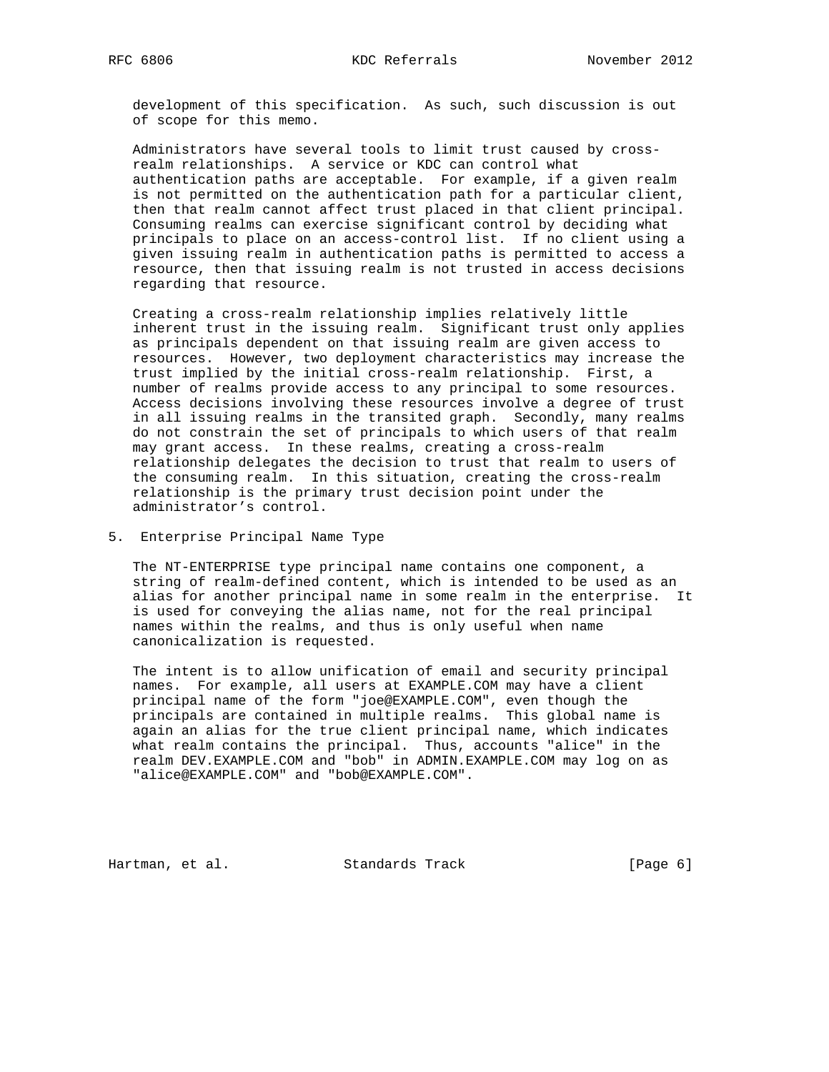development of this specification. As such, such discussion is out of scope for this memo.

 Administrators have several tools to limit trust caused by cross realm relationships. A service or KDC can control what authentication paths are acceptable. For example, if a given realm is not permitted on the authentication path for a particular client, then that realm cannot affect trust placed in that client principal. Consuming realms can exercise significant control by deciding what principals to place on an access-control list. If no client using a given issuing realm in authentication paths is permitted to access a resource, then that issuing realm is not trusted in access decisions regarding that resource.

 Creating a cross-realm relationship implies relatively little inherent trust in the issuing realm. Significant trust only applies as principals dependent on that issuing realm are given access to resources. However, two deployment characteristics may increase the trust implied by the initial cross-realm relationship. First, a number of realms provide access to any principal to some resources. Access decisions involving these resources involve a degree of trust in all issuing realms in the transited graph. Secondly, many realms do not constrain the set of principals to which users of that realm may grant access. In these realms, creating a cross-realm relationship delegates the decision to trust that realm to users of the consuming realm. In this situation, creating the cross-realm relationship is the primary trust decision point under the administrator's control.

5. Enterprise Principal Name Type

 The NT-ENTERPRISE type principal name contains one component, a string of realm-defined content, which is intended to be used as an alias for another principal name in some realm in the enterprise. It is used for conveying the alias name, not for the real principal names within the realms, and thus is only useful when name canonicalization is requested.

 The intent is to allow unification of email and security principal names. For example, all users at EXAMPLE.COM may have a client principal name of the form "joe@EXAMPLE.COM", even though the principals are contained in multiple realms. This global name is again an alias for the true client principal name, which indicates what realm contains the principal. Thus, accounts "alice" in the realm DEV.EXAMPLE.COM and "bob" in ADMIN.EXAMPLE.COM may log on as "alice@EXAMPLE.COM" and "bob@EXAMPLE.COM".

Hartman, et al. Standards Track [Page 6]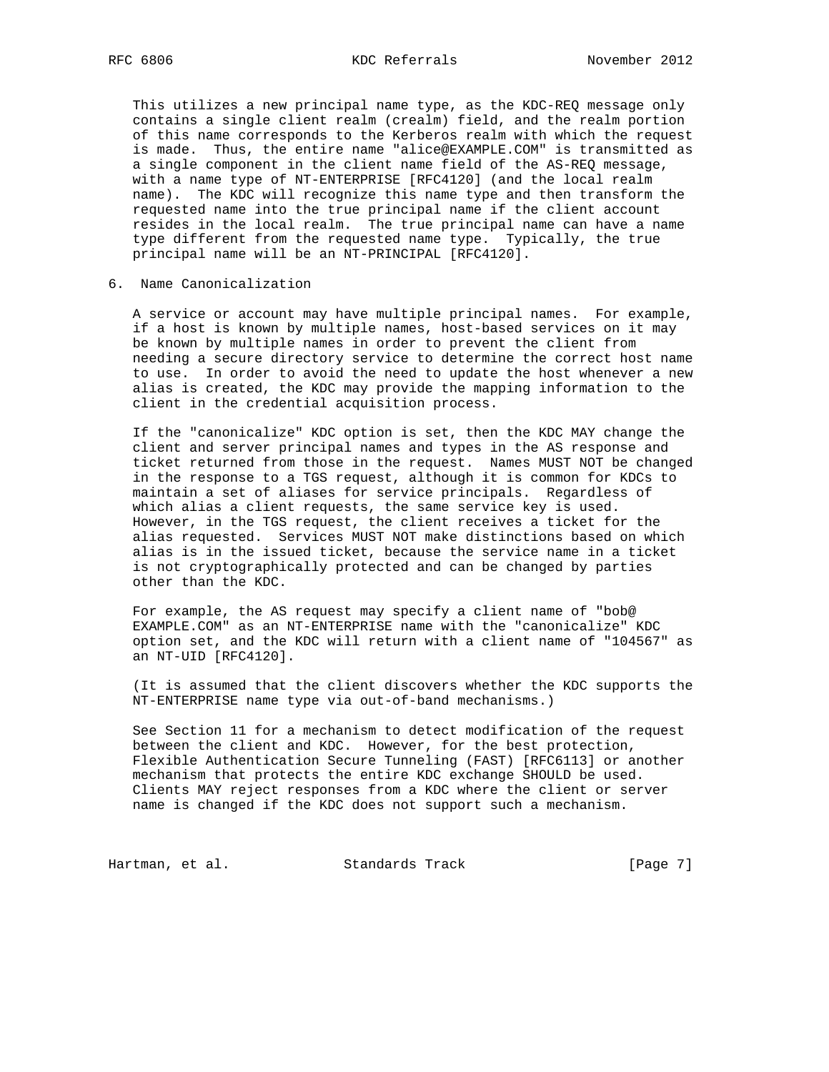This utilizes a new principal name type, as the KDC-REQ message only contains a single client realm (crealm) field, and the realm portion of this name corresponds to the Kerberos realm with which the request is made. Thus, the entire name "alice@EXAMPLE.COM" is transmitted as a single component in the client name field of the AS-REQ message, with a name type of NT-ENTERPRISE [RFC4120] (and the local realm name). The KDC will recognize this name type and then transform the requested name into the true principal name if the client account resides in the local realm. The true principal name can have a name type different from the requested name type. Typically, the true principal name will be an NT-PRINCIPAL [RFC4120].

# 6. Name Canonicalization

 A service or account may have multiple principal names. For example, if a host is known by multiple names, host-based services on it may be known by multiple names in order to prevent the client from needing a secure directory service to determine the correct host name to use. In order to avoid the need to update the host whenever a new alias is created, the KDC may provide the mapping information to the client in the credential acquisition process.

 If the "canonicalize" KDC option is set, then the KDC MAY change the client and server principal names and types in the AS response and ticket returned from those in the request. Names MUST NOT be changed in the response to a TGS request, although it is common for KDCs to maintain a set of aliases for service principals. Regardless of which alias a client requests, the same service key is used. However, in the TGS request, the client receives a ticket for the alias requested. Services MUST NOT make distinctions based on which alias is in the issued ticket, because the service name in a ticket is not cryptographically protected and can be changed by parties other than the KDC.

 For example, the AS request may specify a client name of "bob@ EXAMPLE.COM" as an NT-ENTERPRISE name with the "canonicalize" KDC option set, and the KDC will return with a client name of "104567" as an NT-UID [RFC4120].

 (It is assumed that the client discovers whether the KDC supports the NT-ENTERPRISE name type via out-of-band mechanisms.)

 See Section 11 for a mechanism to detect modification of the request between the client and KDC. However, for the best protection, Flexible Authentication Secure Tunneling (FAST) [RFC6113] or another mechanism that protects the entire KDC exchange SHOULD be used. Clients MAY reject responses from a KDC where the client or server name is changed if the KDC does not support such a mechanism.

Hartman, et al. Standards Track [Page 7]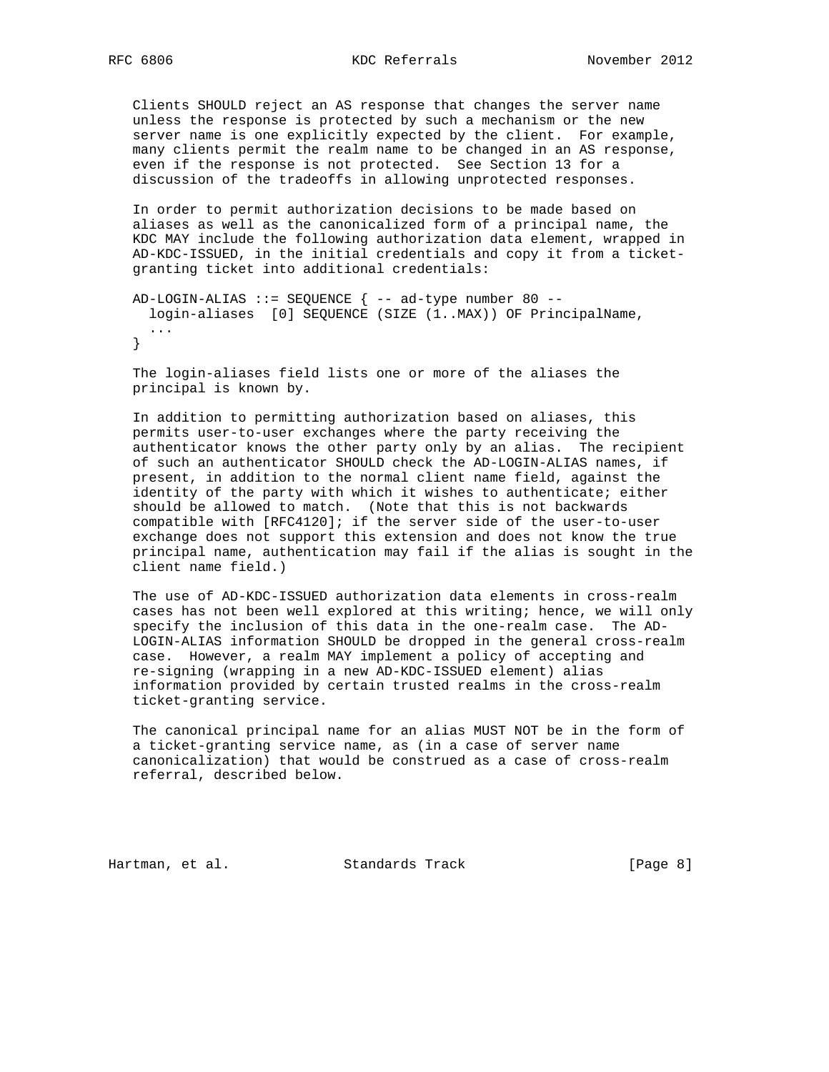Clients SHOULD reject an AS response that changes the server name unless the response is protected by such a mechanism or the new server name is one explicitly expected by the client. For example, many clients permit the realm name to be changed in an AS response, even if the response is not protected. See Section 13 for a discussion of the tradeoffs in allowing unprotected responses.

 In order to permit authorization decisions to be made based on aliases as well as the canonicalized form of a principal name, the KDC MAY include the following authorization data element, wrapped in AD-KDC-ISSUED, in the initial credentials and copy it from a ticket granting ticket into additional credentials:

```
AD-LOGIN-ALIAS ::= SEQUENCE \{- - ad-type number 80 --
  login-aliases [0] SEQUENCE (SIZE (1..MAX)) OF PrincipalName,
   ...
 }
```
 The login-aliases field lists one or more of the aliases the principal is known by.

 In addition to permitting authorization based on aliases, this permits user-to-user exchanges where the party receiving the authenticator knows the other party only by an alias. The recipient of such an authenticator SHOULD check the AD-LOGIN-ALIAS names, if present, in addition to the normal client name field, against the identity of the party with which it wishes to authenticate; either should be allowed to match. (Note that this is not backwards compatible with [RFC4120]; if the server side of the user-to-user exchange does not support this extension and does not know the true principal name, authentication may fail if the alias is sought in the client name field.)

 The use of AD-KDC-ISSUED authorization data elements in cross-realm cases has not been well explored at this writing; hence, we will only specify the inclusion of this data in the one-realm case. The AD- LOGIN-ALIAS information SHOULD be dropped in the general cross-realm case. However, a realm MAY implement a policy of accepting and re-signing (wrapping in a new AD-KDC-ISSUED element) alias information provided by certain trusted realms in the cross-realm ticket-granting service.

 The canonical principal name for an alias MUST NOT be in the form of a ticket-granting service name, as (in a case of server name canonicalization) that would be construed as a case of cross-realm referral, described below.

Hartman, et al. Standards Track [Page 8]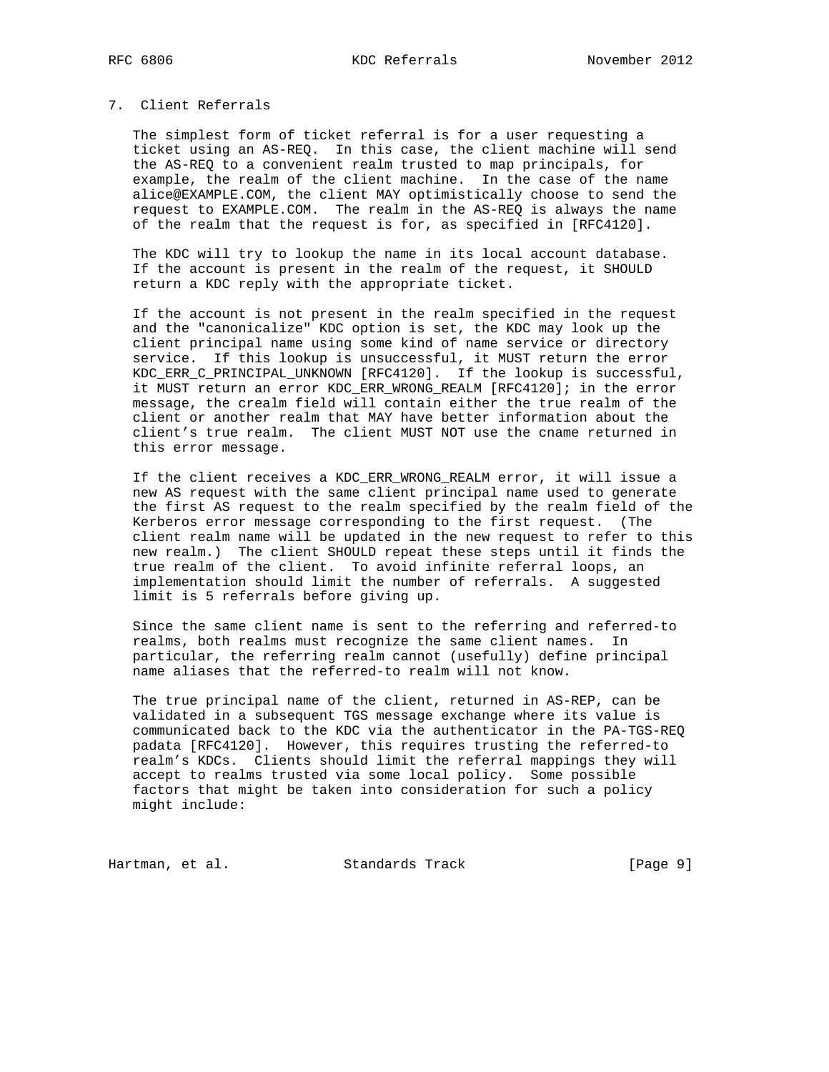# 7. Client Referrals

 The simplest form of ticket referral is for a user requesting a ticket using an AS-REQ. In this case, the client machine will send the AS-REQ to a convenient realm trusted to map principals, for example, the realm of the client machine. In the case of the name alice@EXAMPLE.COM, the client MAY optimistically choose to send the request to EXAMPLE.COM. The realm in the AS-REQ is always the name of the realm that the request is for, as specified in [RFC4120].

 The KDC will try to lookup the name in its local account database. If the account is present in the realm of the request, it SHOULD return a KDC reply with the appropriate ticket.

 If the account is not present in the realm specified in the request and the "canonicalize" KDC option is set, the KDC may look up the client principal name using some kind of name service or directory service. If this lookup is unsuccessful, it MUST return the error KDC\_ERR\_C\_PRINCIPAL\_UNKNOWN [RFC4120]. If the lookup is successful, it MUST return an error KDC\_ERR\_WRONG\_REALM [RFC4120]; in the error message, the crealm field will contain either the true realm of the client or another realm that MAY have better information about the client's true realm. The client MUST NOT use the cname returned in this error message.

 If the client receives a KDC\_ERR\_WRONG\_REALM error, it will issue a new AS request with the same client principal name used to generate the first AS request to the realm specified by the realm field of the Kerberos error message corresponding to the first request. (The client realm name will be updated in the new request to refer to this new realm.) The client SHOULD repeat these steps until it finds the true realm of the client. To avoid infinite referral loops, an implementation should limit the number of referrals. A suggested limit is 5 referrals before giving up.

 Since the same client name is sent to the referring and referred-to realms, both realms must recognize the same client names. In particular, the referring realm cannot (usefully) define principal name aliases that the referred-to realm will not know.

 The true principal name of the client, returned in AS-REP, can be validated in a subsequent TGS message exchange where its value is communicated back to the KDC via the authenticator in the PA-TGS-REQ padata [RFC4120]. However, this requires trusting the referred-to realm's KDCs. Clients should limit the referral mappings they will accept to realms trusted via some local policy. Some possible factors that might be taken into consideration for such a policy might include:

Hartman, et al. Standards Track [Page 9]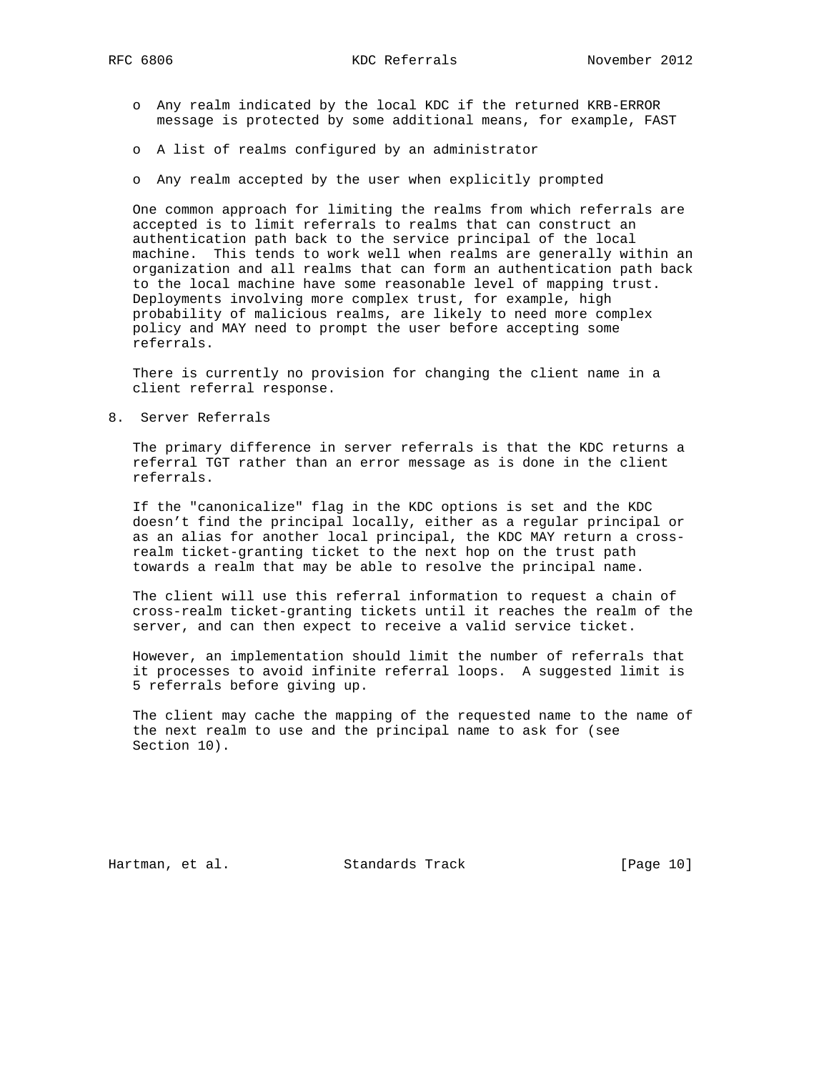- o Any realm indicated by the local KDC if the returned KRB-ERROR message is protected by some additional means, for example, FAST
- o A list of realms configured by an administrator
- o Any realm accepted by the user when explicitly prompted

 One common approach for limiting the realms from which referrals are accepted is to limit referrals to realms that can construct an authentication path back to the service principal of the local machine. This tends to work well when realms are generally within an organization and all realms that can form an authentication path back to the local machine have some reasonable level of mapping trust. Deployments involving more complex trust, for example, high probability of malicious realms, are likely to need more complex policy and MAY need to prompt the user before accepting some referrals.

 There is currently no provision for changing the client name in a client referral response.

8. Server Referrals

 The primary difference in server referrals is that the KDC returns a referral TGT rather than an error message as is done in the client referrals.

 If the "canonicalize" flag in the KDC options is set and the KDC doesn't find the principal locally, either as a regular principal or as an alias for another local principal, the KDC MAY return a cross realm ticket-granting ticket to the next hop on the trust path towards a realm that may be able to resolve the principal name.

 The client will use this referral information to request a chain of cross-realm ticket-granting tickets until it reaches the realm of the server, and can then expect to receive a valid service ticket.

 However, an implementation should limit the number of referrals that it processes to avoid infinite referral loops. A suggested limit is 5 referrals before giving up.

 The client may cache the mapping of the requested name to the name of the next realm to use and the principal name to ask for (see Section 10).

Hartman, et al. Standards Track [Page 10]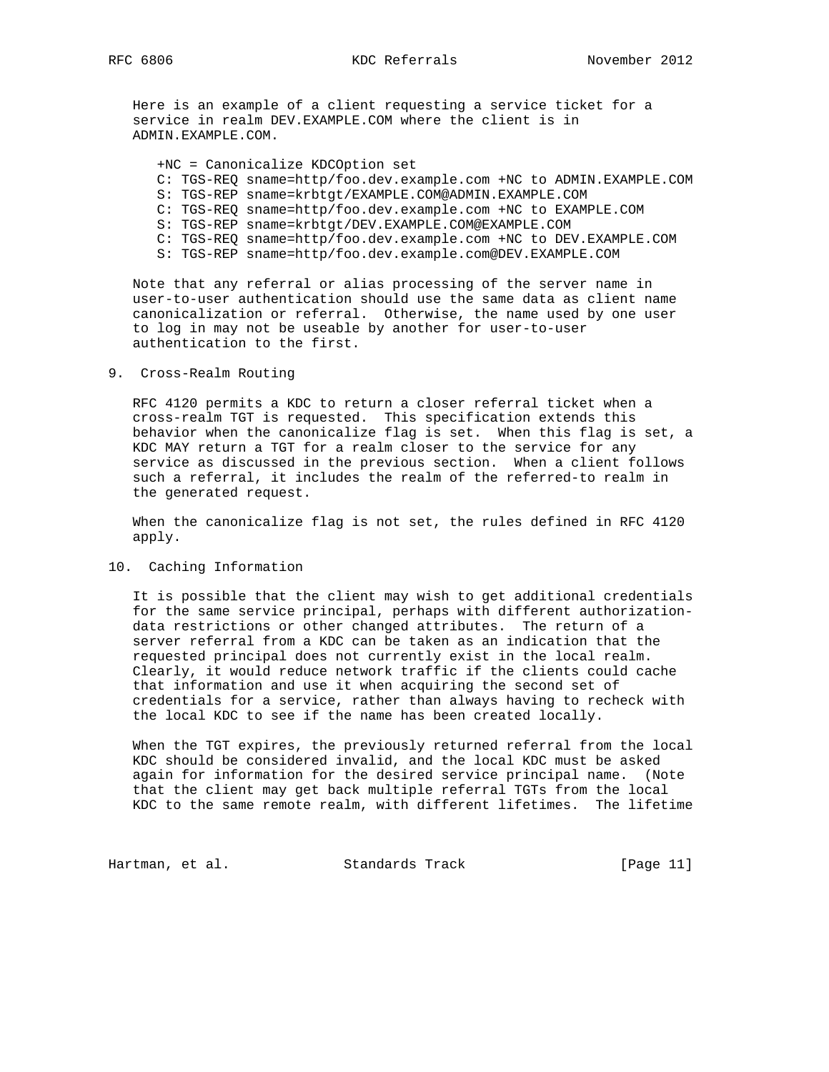Here is an example of a client requesting a service ticket for a service in realm DEV.EXAMPLE.COM where the client is in ADMIN.EXAMPLE.COM.

+NC = Canonicalize KDCOption set

- C: TGS-REQ sname=http/foo.dev.example.com +NC to ADMIN.EXAMPLE.COM
- S: TGS-REP sname=krbtgt/EXAMPLE.COM@ADMIN.EXAMPLE.COM
- C: TGS-REQ sname=http/foo.dev.example.com +NC to EXAMPLE.COM
- S: TGS-REP sname=krbtgt/DEV.EXAMPLE.COM@EXAMPLE.COM
- C: TGS-REQ sname=http/foo.dev.example.com +NC to DEV.EXAMPLE.COM
- S: TGS-REP sname=http/foo.dev.example.com@DEV.EXAMPLE.COM

 Note that any referral or alias processing of the server name in user-to-user authentication should use the same data as client name canonicalization or referral. Otherwise, the name used by one user to log in may not be useable by another for user-to-user authentication to the first.

#### 9. Cross-Realm Routing

 RFC 4120 permits a KDC to return a closer referral ticket when a cross-realm TGT is requested. This specification extends this behavior when the canonicalize flag is set. When this flag is set, a KDC MAY return a TGT for a realm closer to the service for any service as discussed in the previous section. When a client follows such a referral, it includes the realm of the referred-to realm in the generated request.

 When the canonicalize flag is not set, the rules defined in RFC 4120 apply.

## 10. Caching Information

 It is possible that the client may wish to get additional credentials for the same service principal, perhaps with different authorization data restrictions or other changed attributes. The return of a server referral from a KDC can be taken as an indication that the requested principal does not currently exist in the local realm. Clearly, it would reduce network traffic if the clients could cache that information and use it when acquiring the second set of credentials for a service, rather than always having to recheck with the local KDC to see if the name has been created locally.

 When the TGT expires, the previously returned referral from the local KDC should be considered invalid, and the local KDC must be asked again for information for the desired service principal name. (Note that the client may get back multiple referral TGTs from the local KDC to the same remote realm, with different lifetimes. The lifetime

Hartman, et al. Standards Track [Page 11]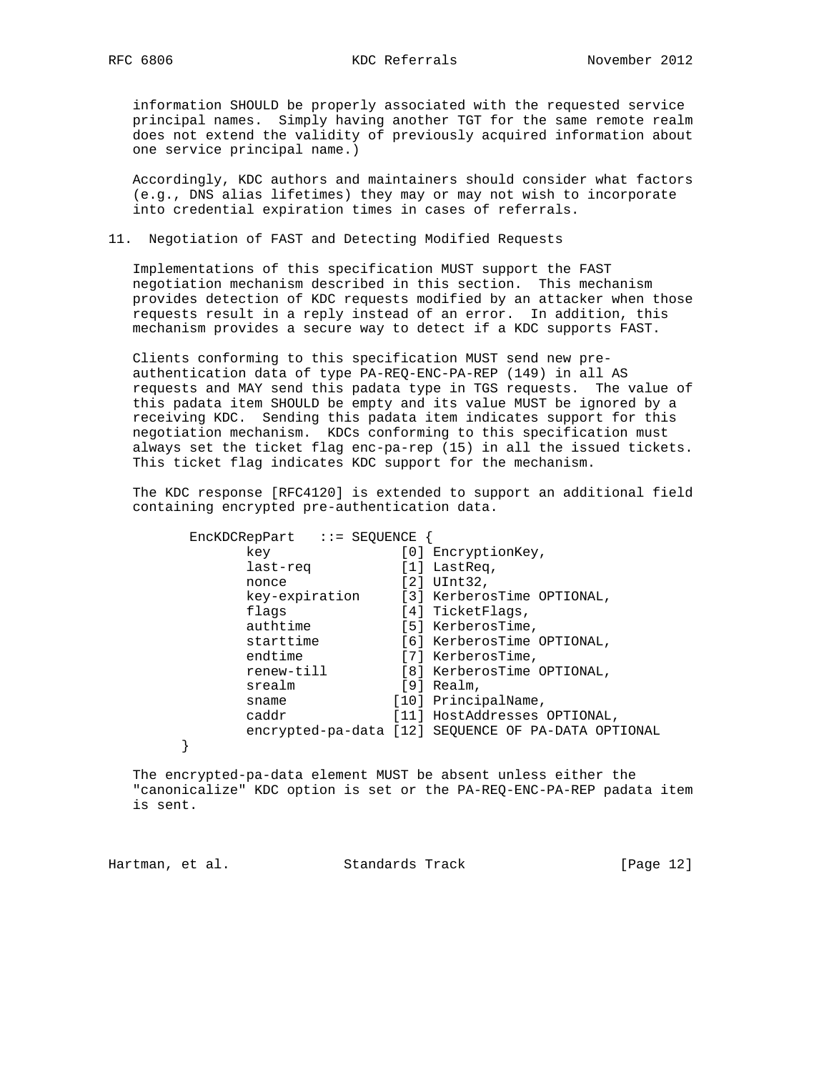information SHOULD be properly associated with the requested service principal names. Simply having another TGT for the same remote realm does not extend the validity of previously acquired information about one service principal name.)

 Accordingly, KDC authors and maintainers should consider what factors (e.g., DNS alias lifetimes) they may or may not wish to incorporate into credential expiration times in cases of referrals.

## 11. Negotiation of FAST and Detecting Modified Requests

 Implementations of this specification MUST support the FAST negotiation mechanism described in this section. This mechanism provides detection of KDC requests modified by an attacker when those requests result in a reply instead of an error. In addition, this mechanism provides a secure way to detect if a KDC supports FAST.

 Clients conforming to this specification MUST send new pre authentication data of type PA-REQ-ENC-PA-REP (149) in all AS requests and MAY send this padata type in TGS requests. The value of this padata item SHOULD be empty and its value MUST be ignored by a receiving KDC. Sending this padata item indicates support for this negotiation mechanism. KDCs conforming to this specification must always set the ticket flag enc-pa-rep (15) in all the issued tickets. This ticket flag indicates KDC support for the mechanism.

 The KDC response [RFC4120] is extended to support an additional field containing encrypted pre-authentication data.

| $EncKDCRepPart$ ::= SEQUENCE |                                                     |
|------------------------------|-----------------------------------------------------|
| key                          | [0] EncryptionKey,                                  |
| last-req                     | $[1]$ LastReq,                                      |
| nonce                        | $[2]$ UInt32,                                       |
|                              | key-expiration [3] KerberosTime OPTIONAL,           |
| flags                        | [4] TicketFlags,                                    |
| authtime                     | [5] KerberosTime,                                   |
| starttime                    | [6] KerberosTime OPTIONAL,                          |
| endtime                      | [7] KerberosTime,                                   |
| renew-till                   | [8] KerberosTime OPTIONAL,                          |
| srealm                       | $[9]$ Realm,                                        |
| sname                        | [10] PrincipalName,                                 |
| caddr                        | [11] HostAddresses OPTIONAL,                        |
|                              | encrypted-pa-data [12] SEQUENCE OF PA-DATA OPTIONAL |
|                              |                                                     |

 The encrypted-pa-data element MUST be absent unless either the "canonicalize" KDC option is set or the PA-REQ-ENC-PA-REP padata item is sent.

Hartman, et al. Standards Track [Page 12]

}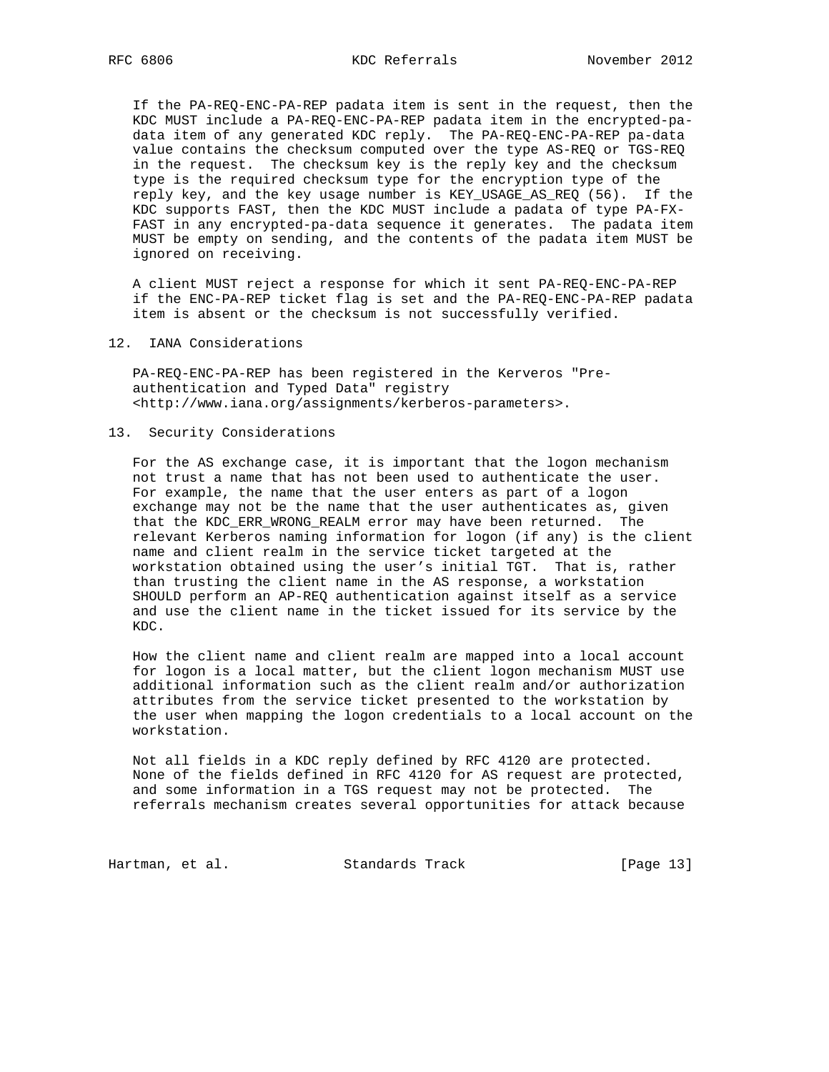If the PA-REQ-ENC-PA-REP padata item is sent in the request, then the KDC MUST include a PA-REQ-ENC-PA-REP padata item in the encrypted-pa data item of any generated KDC reply. The PA-REQ-ENC-PA-REP pa-data value contains the checksum computed over the type AS-REQ or TGS-REQ in the request. The checksum key is the reply key and the checksum type is the required checksum type for the encryption type of the reply key, and the key usage number is KEY\_USAGE\_AS\_REQ (56). If the KDC supports FAST, then the KDC MUST include a padata of type PA-FX- FAST in any encrypted-pa-data sequence it generates. The padata item MUST be empty on sending, and the contents of the padata item MUST be ignored on receiving.

 A client MUST reject a response for which it sent PA-REQ-ENC-PA-REP if the ENC-PA-REP ticket flag is set and the PA-REQ-ENC-PA-REP padata item is absent or the checksum is not successfully verified.

12. IANA Considerations

 PA-REQ-ENC-PA-REP has been registered in the Kerveros "Pre authentication and Typed Data" registry <http://www.iana.org/assignments/kerberos-parameters>.

## 13. Security Considerations

 For the AS exchange case, it is important that the logon mechanism not trust a name that has not been used to authenticate the user. For example, the name that the user enters as part of a logon exchange may not be the name that the user authenticates as, given that the KDC\_ERR\_WRONG\_REALM error may have been returned. The relevant Kerberos naming information for logon (if any) is the client name and client realm in the service ticket targeted at the workstation obtained using the user's initial TGT. That is, rather than trusting the client name in the AS response, a workstation SHOULD perform an AP-REQ authentication against itself as a service and use the client name in the ticket issued for its service by the KDC.

 How the client name and client realm are mapped into a local account for logon is a local matter, but the client logon mechanism MUST use additional information such as the client realm and/or authorization attributes from the service ticket presented to the workstation by the user when mapping the logon credentials to a local account on the workstation.

 Not all fields in a KDC reply defined by RFC 4120 are protected. None of the fields defined in RFC 4120 for AS request are protected, and some information in a TGS request may not be protected. The referrals mechanism creates several opportunities for attack because

Hartman, et al. Standards Track [Page 13]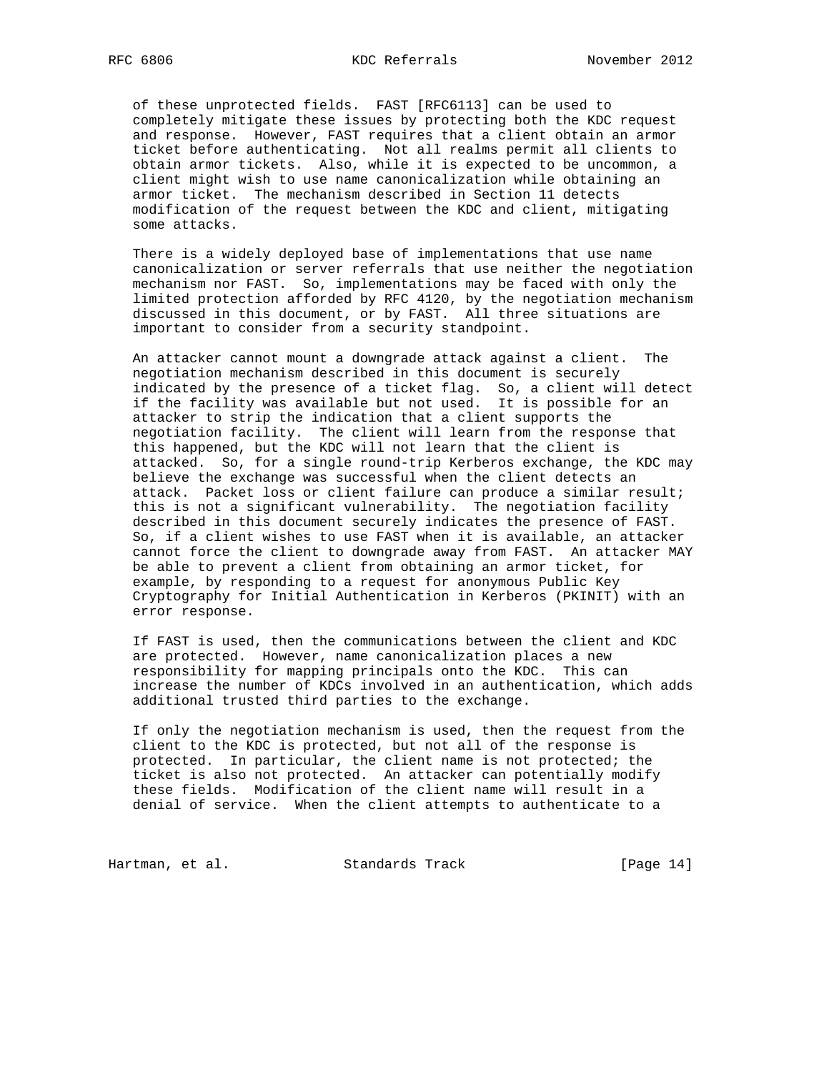of these unprotected fields. FAST [RFC6113] can be used to completely mitigate these issues by protecting both the KDC request and response. However, FAST requires that a client obtain an armor ticket before authenticating. Not all realms permit all clients to obtain armor tickets. Also, while it is expected to be uncommon, a client might wish to use name canonicalization while obtaining an armor ticket. The mechanism described in Section 11 detects modification of the request between the KDC and client, mitigating some attacks.

 There is a widely deployed base of implementations that use name canonicalization or server referrals that use neither the negotiation mechanism nor FAST. So, implementations may be faced with only the limited protection afforded by RFC 4120, by the negotiation mechanism discussed in this document, or by FAST. All three situations are important to consider from a security standpoint.

 An attacker cannot mount a downgrade attack against a client. The negotiation mechanism described in this document is securely indicated by the presence of a ticket flag. So, a client will detect if the facility was available but not used. It is possible for an attacker to strip the indication that a client supports the negotiation facility. The client will learn from the response that this happened, but the KDC will not learn that the client is attacked. So, for a single round-trip Kerberos exchange, the KDC may believe the exchange was successful when the client detects an attack. Packet loss or client failure can produce a similar result; this is not a significant vulnerability. The negotiation facility described in this document securely indicates the presence of FAST. So, if a client wishes to use FAST when it is available, an attacker cannot force the client to downgrade away from FAST. An attacker MAY be able to prevent a client from obtaining an armor ticket, for example, by responding to a request for anonymous Public Key Cryptography for Initial Authentication in Kerberos (PKINIT) with an error response.

 If FAST is used, then the communications between the client and KDC are protected. However, name canonicalization places a new responsibility for mapping principals onto the KDC. This can increase the number of KDCs involved in an authentication, which adds additional trusted third parties to the exchange.

 If only the negotiation mechanism is used, then the request from the client to the KDC is protected, but not all of the response is protected. In particular, the client name is not protected; the ticket is also not protected. An attacker can potentially modify these fields. Modification of the client name will result in a denial of service. When the client attempts to authenticate to a

Hartman, et al. Standards Track [Page 14]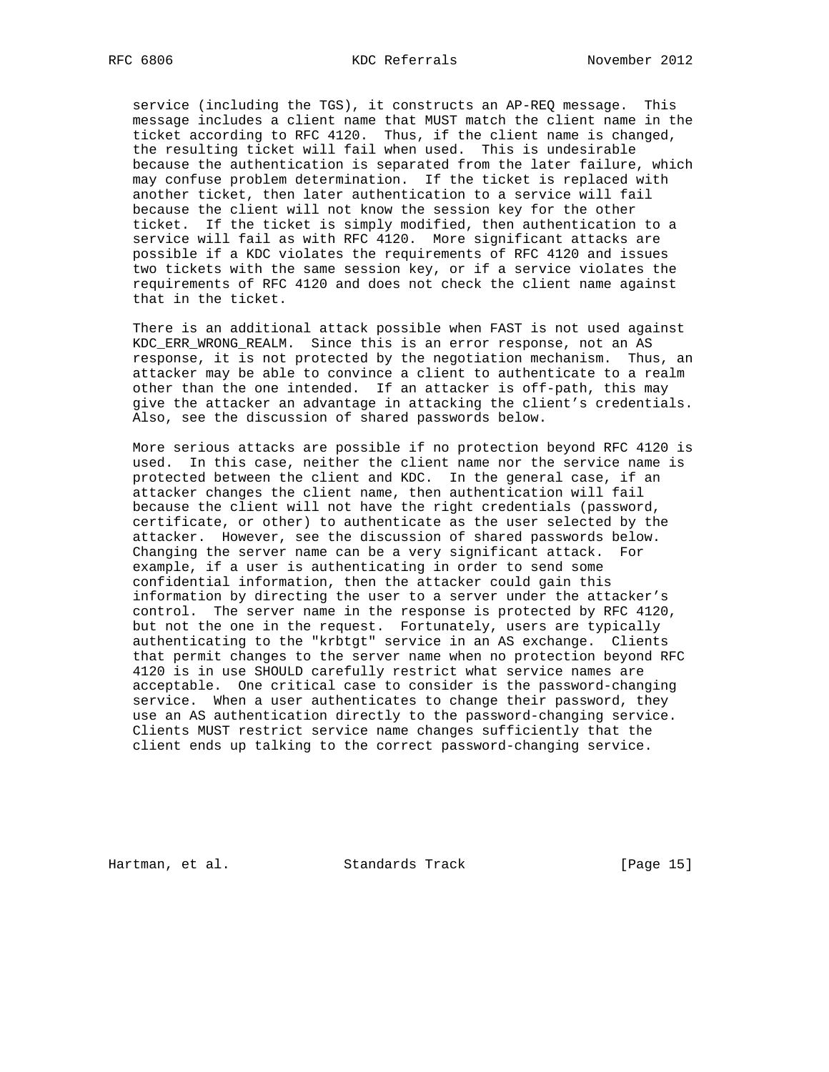service (including the TGS), it constructs an AP-REQ message. This message includes a client name that MUST match the client name in the ticket according to RFC 4120. Thus, if the client name is changed, the resulting ticket will fail when used. This is undesirable because the authentication is separated from the later failure, which may confuse problem determination. If the ticket is replaced with another ticket, then later authentication to a service will fail because the client will not know the session key for the other ticket. If the ticket is simply modified, then authentication to a service will fail as with RFC 4120. More significant attacks are possible if a KDC violates the requirements of RFC 4120 and issues two tickets with the same session key, or if a service violates the requirements of RFC 4120 and does not check the client name against that in the ticket.

 There is an additional attack possible when FAST is not used against KDC\_ERR\_WRONG\_REALM. Since this is an error response, not an AS response, it is not protected by the negotiation mechanism. Thus, an attacker may be able to convince a client to authenticate to a realm other than the one intended. If an attacker is off-path, this may give the attacker an advantage in attacking the client's credentials. Also, see the discussion of shared passwords below.

 More serious attacks are possible if no protection beyond RFC 4120 is used. In this case, neither the client name nor the service name is protected between the client and KDC. In the general case, if an attacker changes the client name, then authentication will fail because the client will not have the right credentials (password, certificate, or other) to authenticate as the user selected by the attacker. However, see the discussion of shared passwords below. Changing the server name can be a very significant attack. For example, if a user is authenticating in order to send some confidential information, then the attacker could gain this information by directing the user to a server under the attacker's control. The server name in the response is protected by RFC 4120, but not the one in the request. Fortunately, users are typically authenticating to the "krbtgt" service in an AS exchange. Clients that permit changes to the server name when no protection beyond RFC 4120 is in use SHOULD carefully restrict what service names are acceptable. One critical case to consider is the password-changing service. When a user authenticates to change their password, they use an AS authentication directly to the password-changing service. Clients MUST restrict service name changes sufficiently that the client ends up talking to the correct password-changing service.

Hartman, et al. Standards Track [Page 15]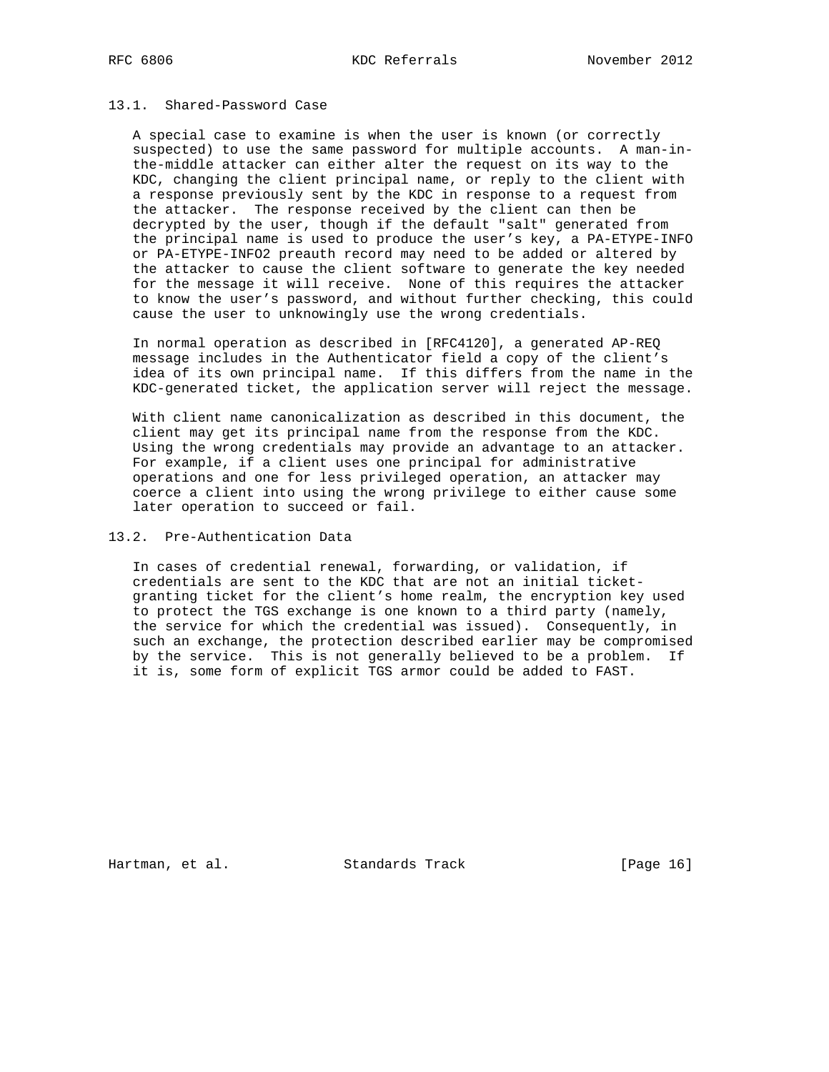### 13.1. Shared-Password Case

 A special case to examine is when the user is known (or correctly suspected) to use the same password for multiple accounts. A man-in the-middle attacker can either alter the request on its way to the KDC, changing the client principal name, or reply to the client with a response previously sent by the KDC in response to a request from the attacker. The response received by the client can then be decrypted by the user, though if the default "salt" generated from the principal name is used to produce the user's key, a PA-ETYPE-INFO or PA-ETYPE-INFO2 preauth record may need to be added or altered by the attacker to cause the client software to generate the key needed for the message it will receive. None of this requires the attacker to know the user's password, and without further checking, this could cause the user to unknowingly use the wrong credentials.

 In normal operation as described in [RFC4120], a generated AP-REQ message includes in the Authenticator field a copy of the client's idea of its own principal name. If this differs from the name in the KDC-generated ticket, the application server will reject the message.

 With client name canonicalization as described in this document, the client may get its principal name from the response from the KDC. Using the wrong credentials may provide an advantage to an attacker. For example, if a client uses one principal for administrative operations and one for less privileged operation, an attacker may coerce a client into using the wrong privilege to either cause some later operation to succeed or fail.

# 13.2. Pre-Authentication Data

 In cases of credential renewal, forwarding, or validation, if credentials are sent to the KDC that are not an initial ticket granting ticket for the client's home realm, the encryption key used to protect the TGS exchange is one known to a third party (namely, the service for which the credential was issued). Consequently, in such an exchange, the protection described earlier may be compromised by the service. This is not generally believed to be a problem. If it is, some form of explicit TGS armor could be added to FAST.

Hartman, et al. Standards Track [Page 16]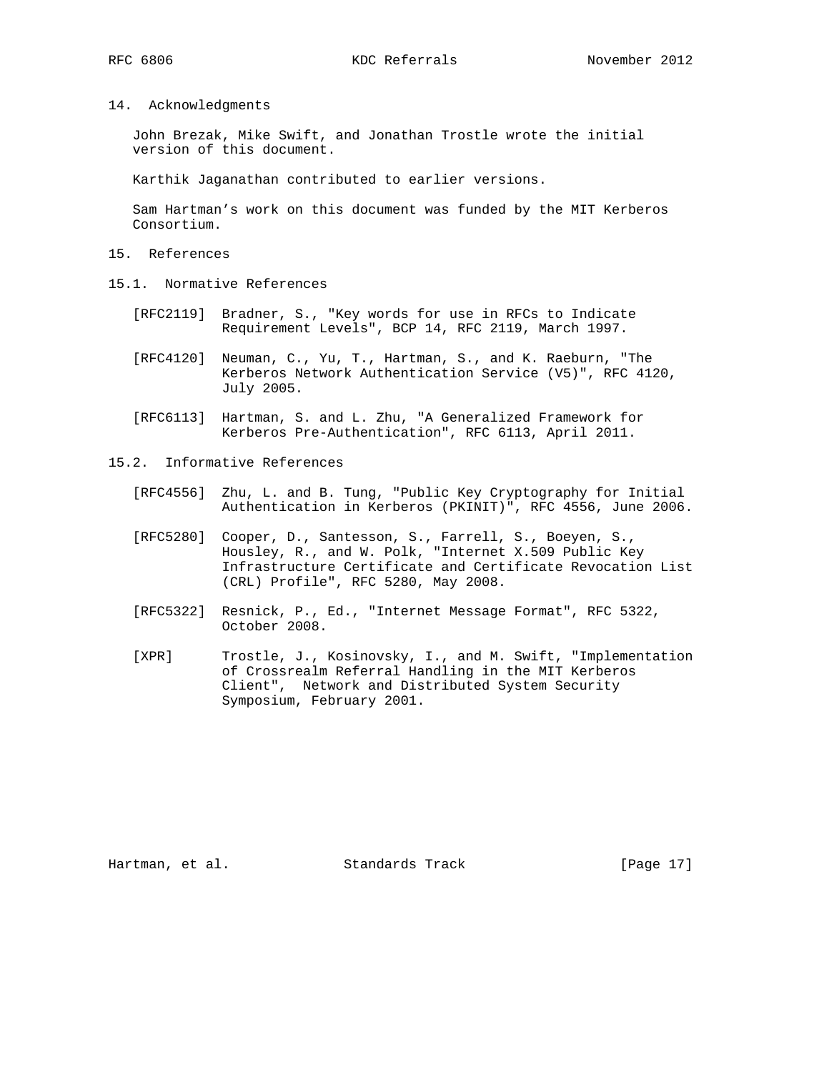14. Acknowledgments

 John Brezak, Mike Swift, and Jonathan Trostle wrote the initial version of this document.

Karthik Jaganathan contributed to earlier versions.

 Sam Hartman's work on this document was funded by the MIT Kerberos Consortium.

- 15. References
- 15.1. Normative References
	- [RFC2119] Bradner, S., "Key words for use in RFCs to Indicate Requirement Levels", BCP 14, RFC 2119, March 1997.
	- [RFC4120] Neuman, C., Yu, T., Hartman, S., and K. Raeburn, "The Kerberos Network Authentication Service (V5)", RFC 4120, July 2005.
	- [RFC6113] Hartman, S. and L. Zhu, "A Generalized Framework for Kerberos Pre-Authentication", RFC 6113, April 2011.
- 15.2. Informative References
	- [RFC4556] Zhu, L. and B. Tung, "Public Key Cryptography for Initial Authentication in Kerberos (PKINIT)", RFC 4556, June 2006.
	- [RFC5280] Cooper, D., Santesson, S., Farrell, S., Boeyen, S., Housley, R., and W. Polk, "Internet X.509 Public Key Infrastructure Certificate and Certificate Revocation List (CRL) Profile", RFC 5280, May 2008.
	- [RFC5322] Resnick, P., Ed., "Internet Message Format", RFC 5322, October 2008.
	- [XPR] Trostle, J., Kosinovsky, I., and M. Swift, "Implementation of Crossrealm Referral Handling in the MIT Kerberos Client", Network and Distributed System Security Symposium, February 2001.

Hartman, et al. Standards Track [Page 17]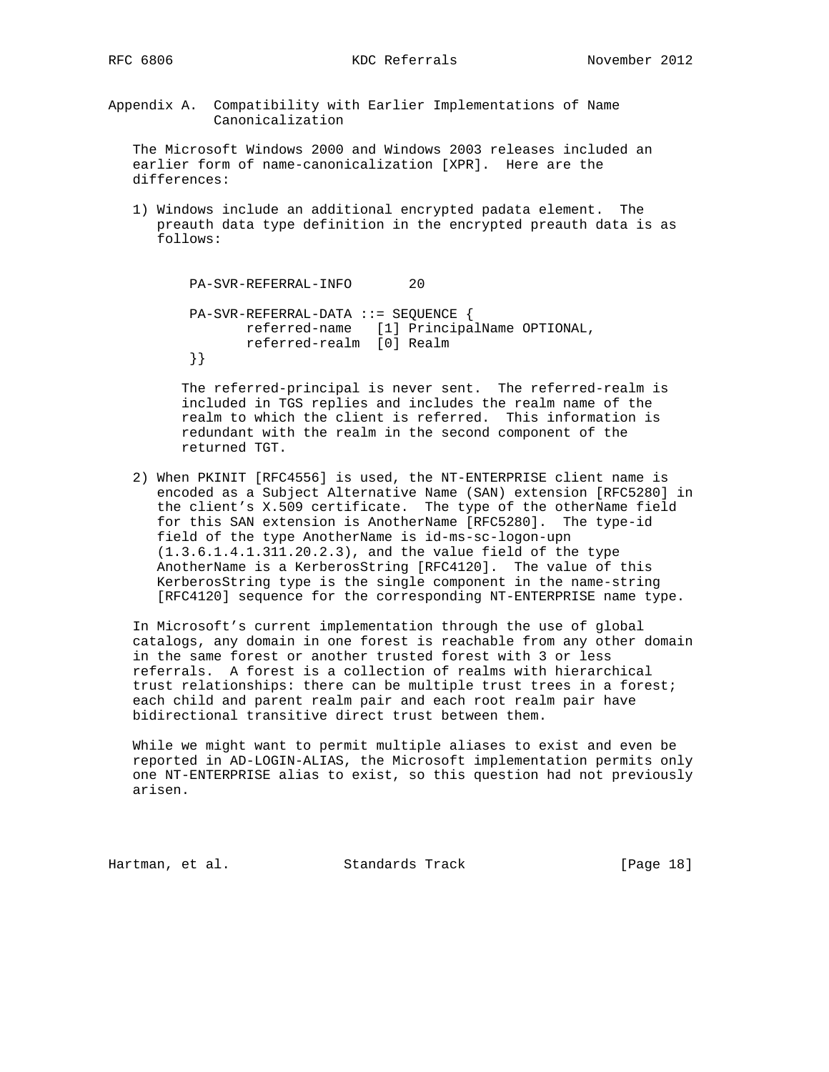Appendix A. Compatibility with Earlier Implementations of Name Canonicalization

 The Microsoft Windows 2000 and Windows 2003 releases included an earlier form of name-canonicalization [XPR]. Here are the differences:

 1) Windows include an additional encrypted padata element. The preauth data type definition in the encrypted preauth data is as follows:

```
 PA-SVR-REFERRAL-INFO 20
 PA-SVR-REFERRAL-DATA ::= SEQUENCE {
      referred-name [1] PrincipalName OPTIONAL,
       referred-realm [0] Realm
 }}
```
 The referred-principal is never sent. The referred-realm is included in TGS replies and includes the realm name of the realm to which the client is referred. This information is redundant with the realm in the second component of the returned TGT.

 2) When PKINIT [RFC4556] is used, the NT-ENTERPRISE client name is encoded as a Subject Alternative Name (SAN) extension [RFC5280] in the client's X.509 certificate. The type of the otherName field for this SAN extension is AnotherName [RFC5280]. The type-id field of the type AnotherName is id-ms-sc-logon-upn (1.3.6.1.4.1.311.20.2.3), and the value field of the type AnotherName is a KerberosString [RFC4120]. The value of this KerberosString type is the single component in the name-string [RFC4120] sequence for the corresponding NT-ENTERPRISE name type.

 In Microsoft's current implementation through the use of global catalogs, any domain in one forest is reachable from any other domain in the same forest or another trusted forest with 3 or less referrals. A forest is a collection of realms with hierarchical trust relationships: there can be multiple trust trees in a forest; each child and parent realm pair and each root realm pair have bidirectional transitive direct trust between them.

 While we might want to permit multiple aliases to exist and even be reported in AD-LOGIN-ALIAS, the Microsoft implementation permits only one NT-ENTERPRISE alias to exist, so this question had not previously arisen.

Hartman, et al. Standards Track [Page 18]